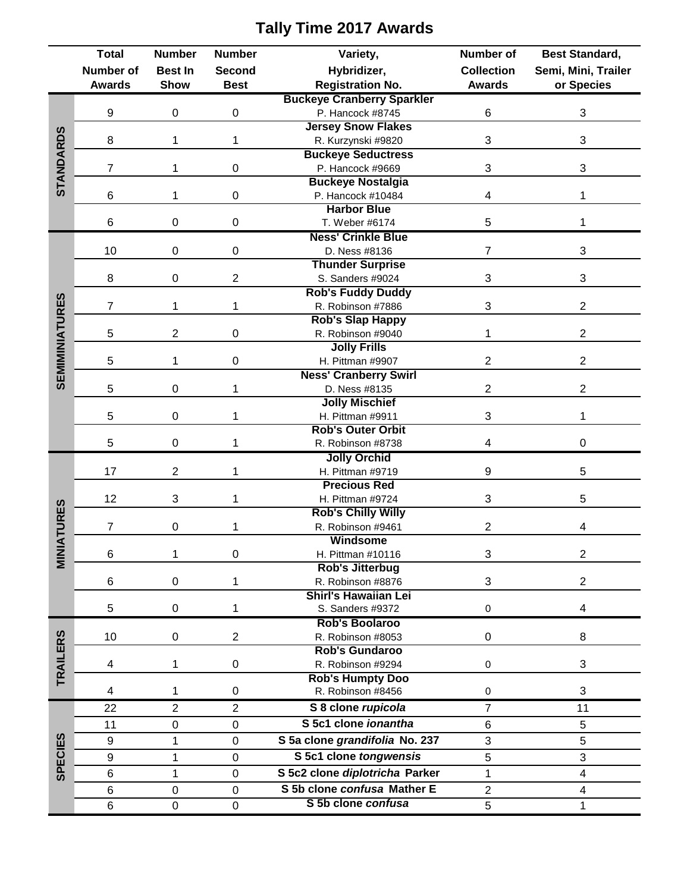|                       | <b>Total</b>   | <b>Number</b>              | <b>Number</b>    | Variety,                          | Number of         | <b>Best Standard,</b>   |  |
|-----------------------|----------------|----------------------------|------------------|-----------------------------------|-------------------|-------------------------|--|
|                       | Number of      | <b>Best In</b>             | Second           | Hybridizer,                       | <b>Collection</b> | Semi, Mini, Trailer     |  |
|                       | <b>Awards</b>  | <b>Show</b><br><b>Best</b> |                  | <b>Registration No.</b>           | <b>Awards</b>     | or Species              |  |
|                       |                |                            |                  | <b>Buckeye Cranberry Sparkler</b> |                   |                         |  |
| STANDARDS             | 9              | 0                          | 0                | P. Hancock #8745                  | 6                 | 3                       |  |
|                       |                |                            | 1                | <b>Jersey Snow Flakes</b>         |                   |                         |  |
|                       | 8              | 1                          |                  | R. Kurzynski #9820                | 3                 | 3                       |  |
|                       |                | 1                          | 0                | <b>Buckeye Seductress</b>         |                   |                         |  |
|                       | $\overline{7}$ |                            |                  | P. Hancock #9669                  | 3                 | 3                       |  |
|                       |                |                            |                  | <b>Buckeye Nostalgia</b>          |                   |                         |  |
|                       | 6              | 1                          | $\pmb{0}$        | P. Hancock #10484                 | 4                 | 1                       |  |
|                       |                |                            |                  | <b>Harbor Blue</b>                |                   |                         |  |
|                       | 6              | 0                          | $\pmb{0}$        | T. Weber #6174                    | 5                 | 1                       |  |
|                       |                | 0                          | $\mathbf 0$      | <b>Ness' Crinkle Blue</b>         |                   |                         |  |
|                       | 10             |                            |                  | D. Ness #8136                     | $\overline{7}$    | 3                       |  |
|                       |                | 0                          | $\overline{2}$   | <b>Thunder Surprise</b>           |                   |                         |  |
|                       | 8              |                            |                  | S. Sanders #9024                  | 3                 | 3                       |  |
|                       |                |                            |                  | <b>Rob's Fuddy Duddy</b>          |                   |                         |  |
|                       | $\overline{7}$ | 1                          | 1                | R. Robinson #7886                 | 3                 | $\overline{2}$          |  |
|                       |                |                            |                  | <b>Rob's Slap Happy</b>           |                   |                         |  |
|                       | 5              | $\overline{2}$             | $\mathbf 0$      | R. Robinson #9040                 | 1                 | $\overline{2}$          |  |
|                       |                |                            | $\mathbf 0$      | <b>Jolly Frills</b>               |                   |                         |  |
|                       | 5              | 1                          |                  | H. Pittman #9907                  | $\overline{2}$    | $\overline{2}$          |  |
| <b>SEMIMINIATURES</b> |                | 0                          | 1                | <b>Ness' Cranberry Swirl</b>      |                   |                         |  |
|                       | 5              |                            |                  | D. Ness #8135                     | $\overline{2}$    | $\overline{2}$          |  |
|                       |                | 0                          | 1                | <b>Jolly Mischief</b>             |                   |                         |  |
|                       | 5              |                            |                  | H. Pittman #9911                  | 3                 | 1                       |  |
|                       |                | 0                          | 1                | <b>Rob's Outer Orbit</b>          |                   |                         |  |
|                       | 5              |                            |                  | R. Robinson #8738                 | 4                 | $\mathbf 0$             |  |
|                       |                |                            |                  | <b>Jolly Orchid</b>               |                   |                         |  |
|                       | 17             | 2                          | 1                | H. Pittman #9719                  | 9                 | 5                       |  |
|                       | 12             |                            |                  | <b>Precious Red</b>               |                   |                         |  |
|                       |                | 3<br>1<br>H. Pittman #9724 |                  | <b>Rob's Chilly Willy</b>         | 3                 | 5                       |  |
| <b>IATURES</b>        | $\overline{7}$ | 0                          |                  | R. Robinson #9461                 | $\overline{c}$    | 4                       |  |
|                       |                |                            |                  | Windsome                          |                   |                         |  |
|                       | 6              | 1                          | 0                | H. Pittman #10116                 | 3                 | $\overline{2}$          |  |
| MIN<br>Ni             |                |                            |                  | <b>Rob's Jitterbug</b>            |                   |                         |  |
|                       | 6              | 0                          | 1                | R. Robinson #8876                 | 3                 | $\overline{2}$          |  |
|                       |                |                            |                  | <b>Shirl's Hawaiian Lei</b>       |                   |                         |  |
|                       | 5              | 0                          | 1                | S. Sanders #9372                  | $\pmb{0}$         | 4                       |  |
|                       |                |                            |                  | Rob's Boolaroo                    |                   |                         |  |
|                       | 10             | $\boldsymbol{0}$           | $\overline{2}$   | R. Robinson #8053                 | $\mathbf 0$       | 8                       |  |
| <b>TRAILERS</b>       |                |                            |                  | <b>Rob's Gundaroo</b>             |                   |                         |  |
|                       | 4              | 1                          | $\pmb{0}$        | R. Robinson #9294                 | $\pmb{0}$         | 3                       |  |
|                       |                |                            |                  | <b>Rob's Humpty Doo</b>           |                   |                         |  |
|                       | 4              | 1                          | $\pmb{0}$        | R. Robinson #8456                 | $\pmb{0}$         | 3                       |  |
|                       | 22             | $\overline{2}$             | $\overline{2}$   | S 8 clone rupicola                | $\overline{7}$    | 11                      |  |
| <b>SPECIES</b>        | 11             | 0                          | $\boldsymbol{0}$ | S 5c1 clone ionantha              | 6                 | 5                       |  |
|                       |                |                            |                  |                                   |                   |                         |  |
|                       | 9              | 1                          | $\pmb{0}$        | S 5a clone grandifolia No. 237    | 3                 | 5                       |  |
|                       | 9              | 1                          | $\mathbf 0$      | S 5c1 clone tongwensis            | 5                 | 3                       |  |
|                       | 6              | 1                          | $\pmb{0}$        | S 5c2 clone diplotricha Parker    | $\mathbf 1$       | $\overline{\mathbf{4}}$ |  |
|                       | 6              | $\boldsymbol{0}$           | $\mathbf 0$      | S 5b clone confusa Mather E       | $\overline{2}$    | 4                       |  |
|                       | 6              | $\boldsymbol{0}$           | $\pmb{0}$        | S 5b clone confusa                | 5                 | 1                       |  |

## **Tally Time 2017 Awards**